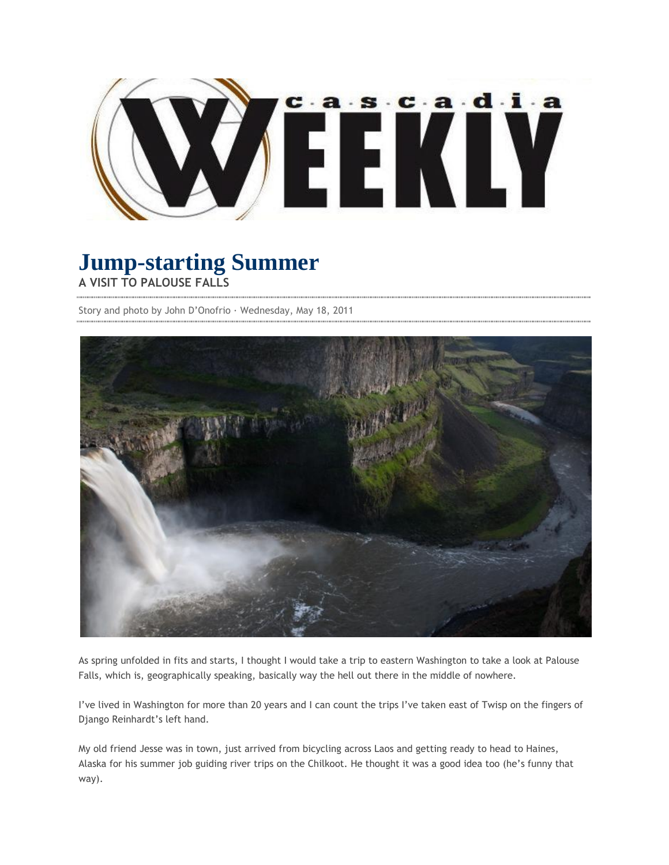

## **Jump-starting Summer**

**A VISIT TO PALOUSE FALLS**

Story and photo by John D'Onofrio · Wednesday, May 18, 2011



As spring unfolded in fits and starts, I thought I would take a trip to eastern Washington to take a look at Palouse Falls, which is, geographically speaking, basically way the hell out there in the middle of nowhere.

I've lived in Washington for more than 20 years and I can count the trips I've taken east of Twisp on the fingers of Django Reinhardt's left hand.

My old friend Jesse was in town, just arrived from bicycling across Laos and getting ready to head to Haines, Alaska for his summer job guiding river trips on the Chilkoot. He thought it was a good idea too (he's funny that way).